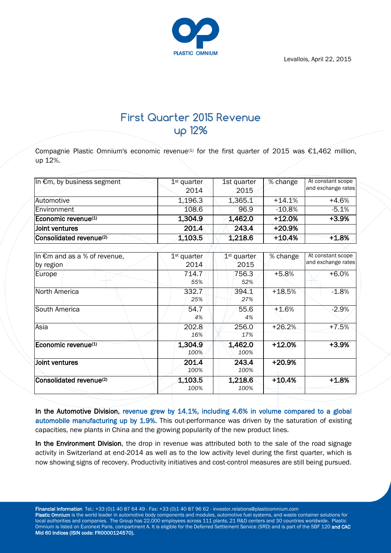Levallois, April 22, 2015



## **First Quarter 2015 Revenue up 12%**

Compagnie Plastic Omnium's economic revenue<sup>(1)</sup> for the first quarter of 2015 was  $\epsilon$ 1,462 million, up 12%.

| In $\epsilon$ m, by business segment | 1 <sup>st</sup> quarter<br>2014 | 1st quarter<br>2015 | % change  | At constant scope<br>and exchange rates |
|--------------------------------------|---------------------------------|---------------------|-----------|-----------------------------------------|
| Automotive                           | 1,196.3                         | 1,365.1             | $+14.1%$  | $+4.6%$                                 |
| <b>Environment</b>                   | 108.6                           | 96.9                | $-10.8\%$ | $-5.1%$                                 |
| Economic revenue $(1)$               | 1,304.9                         | 1,462.0             | +12.0%    | $+3.9%$                                 |
| Joint ventures                       | 201.4                           | 243.4               | $+20.9%$  |                                         |
| Consolidated revenue <sup>(2)</sup>  | 1,103.5                         | 1,218.6             | $+10.4%$  | $+1.8%$                                 |

| In $\epsilon$ m and as a % of revenue, | $1st$ quarter | 1 <sup>st</sup> quarter | % change | At constant scope  |
|----------------------------------------|---------------|-------------------------|----------|--------------------|
| by region                              | 2014          | 2015                    |          | and exchange rates |
| Europe                                 | 714.7         | 756.3                   | $+5.8%$  | $+6.0%$            |
|                                        | 55%           | 52%                     |          |                    |
| North America                          | 332.7         | 394.1                   | $+18.5%$ | $-1.8%$            |
|                                        | 25%           | 27%                     |          |                    |
| South America                          | 54.7          | 55.6                    | $+1.6%$  | $-2.9%$            |
|                                        | 4%            | 4%                      |          |                    |
| Asia                                   | 202.8         | 256.0                   | $+26.2%$ | $+7.5%$            |
|                                        | 16%           | 17%                     |          |                    |
| Economic revenue <sup>(1)</sup>        | 1,304.9       | 1,462.0                 | $+12.0%$ | $+3.9%$            |
|                                        | 100%          | 100%                    |          |                    |
| Joint ventures                         | 201.4         | 243.4                   | $+20.9%$ |                    |
|                                        | 100%          | 100%                    |          |                    |
| Consolidated revenue(2)                | 1,103.5       | 1,218.6                 | $+10.4%$ | $+1.8%$            |
|                                        | 100%          | 100%                    |          |                    |

In the Automotive Division, revenue grew by 14.1%, including 4.6% in volume compared to a global automobile manufacturing up by 1.9%. This out-performance was driven by the saturation of existing capacities, new plants in China and the growing popularity of the new product lines.

In the Environment Division, the drop in revenue was attributed both to the sale of the road signage activity in Switzerland at end-2014 as well as to the low activity level during the first quarter, which is now showing signs of recovery. Productivity initiatives and cost-control measures are still being pursued.

Financial information Tel.: +33 (0)1 40 87 64 49 - Fax: +33 (0)1 40 87 96 62 - investor.relations@plasticomnium.com Plastic Omnium is the world leader in automotive body components and modules, automotive fuel systems, and waste container solutions for local authorities and companies. The Group has 22,000 employees across 111 plants, 21 R&D centers and 30 countries worldwide. Plastic Omnium is listed on Euronext Paris, compartment A. It is eligible for the Deferred Settlement Service (SRD) and is part of the SBF 120 and CAC Mid 60 indices (ISIN code: FR0000124570).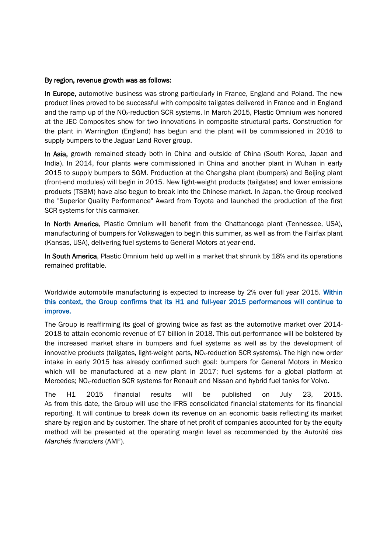## By region, revenue growth was as follows:

In Europe, automotive business was strong particularly in France, England and Poland. The new product lines proved to be successful with composite tailgates delivered in France and in England and the ramp up of the NO<sub>x</sub>-reduction SCR systems. In March 2015, Plastic Omnium was honored at the JEC Composites show for two innovations in composite structural parts. Construction for the plant in Warrington (England) has begun and the plant will be commissioned in 2016 to supply bumpers to the Jaguar Land Rover group.

In Asia, growth remained steady both in China and outside of China (South Korea, Japan and India). In 2014, four plants were commissioned in China and another plant in Wuhan in early 2015 to supply bumpers to SGM. Production at the Changsha plant (bumpers) and Beijing plant (front-end modules) will begin in 2015. New light-weight products (tailgates) and lower emissions products (TSBM) have also begun to break into the Chinese market. In Japan, the Group received the "Superior Quality Performance" Award from Toyota and launched the production of the first SCR systems for this carmaker.

In North America, Plastic Omnium will benefit from the Chattanooga plant (Tennessee, USA), manufacturing of bumpers for Volkswagen to begin this summer, as well as from the Fairfax plant (Kansas, USA), delivering fuel systems to General Motors at year-end.

In South America, Plastic Omnium held up well in a market that shrunk by 18% and its operations remained profitable.

Worldwide automobile manufacturing is expected to increase by 2% over full year 2015. Within this context, the Group confirms that its H1 and full-year 2015 performances will continue to improve.

The Group is reaffirming its goal of growing twice as fast as the automotive market over 2014- 2018 to attain economic revenue of €7 billion in 2018. This out-performance will be bolstered by the increased market share in bumpers and fuel systems as well as by the development of innovative products (tailgates, light-weight parts,  $NO<sub>x</sub>$ -reduction SCR systems). The high new order intake in early 2015 has already confirmed such goal: bumpers for General Motors in Mexico which will be manufactured at a new plant in 2017; fuel systems for a global platform at Mercedes; NO<sub>x</sub>-reduction SCR systems for Renault and Nissan and hybrid fuel tanks for Volvo.

The H1 2015 financial results will be published on July 23, 2015. As from this date, the Group will use the IFRS consolidated financial statements for its financial reporting. It will continue to break down its revenue on an economic basis reflecting its market share by region and by customer. The share of net profit of companies accounted for by the equity method will be presented at the operating margin level as recommended by the *Autorité des Marchés financiers* (AMF).